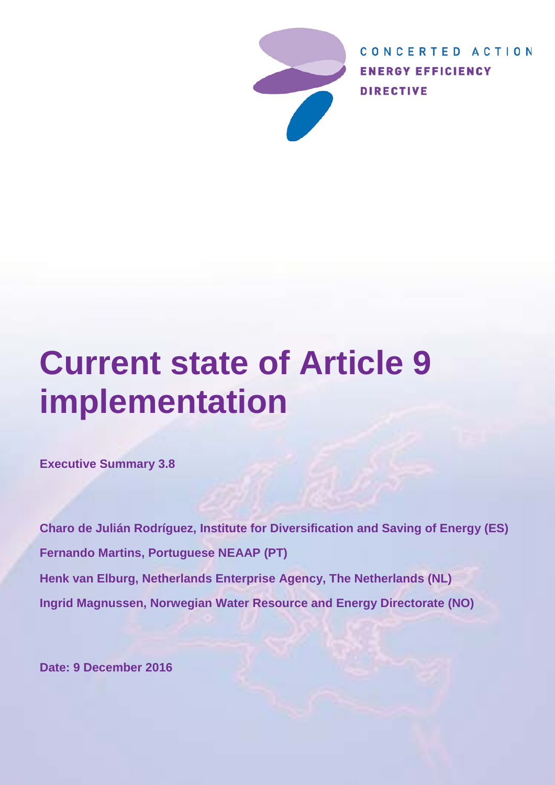

CONCERTED ACTION **ENERGY EFFICIENCY DIRECTIVE** 

# **Current state of Article 9 implementation**

**Executive Summary 3.8**

**Charo de Julián Rodríguez, Institute for Diversification and Saving of Energy (ES) Fernando Martins, Portuguese NEAAP (PT) Henk van Elburg, Netherlands Enterprise Agency, The Netherlands (NL) Ingrid Magnussen, Norwegian Water Resource and Energy Directorate (NO)**

**Date: 9 December 2016**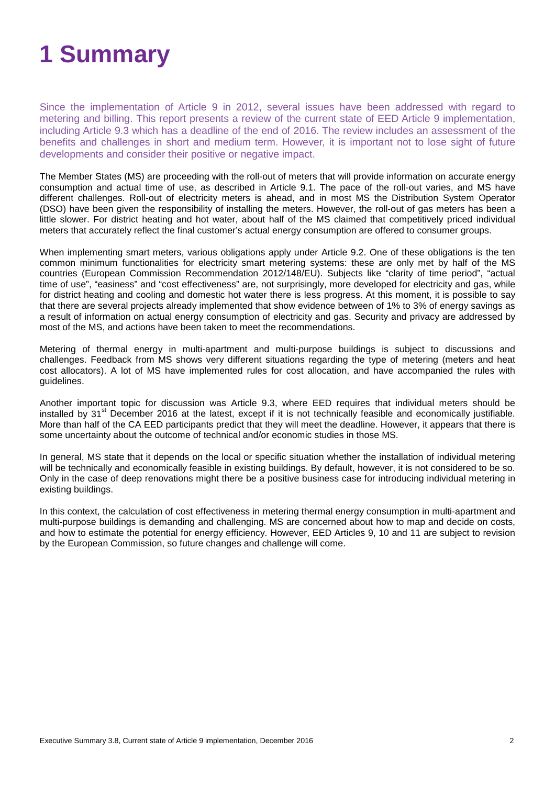# **1 Summary**

Since the implementation of Article 9 in 2012, several issues have been addressed with regard to metering and billing. This report presents a review of the current state of EED Article 9 implementation, including Article 9.3 which has a deadline of the end of 2016. The review includes an assessment of the benefits and challenges in short and medium term. However, it is important not to lose sight of future developments and consider their positive or negative impact.

The Member States (MS) are proceeding with the roll-out of meters that will provide information on accurate energy consumption and actual time of use, as described in Article 9.1. The pace of the roll-out varies, and MS have different challenges. Roll-out of electricity meters is ahead, and in most MS the Distribution System Operator (DSO) have been given the responsibility of installing the meters. However, the roll-out of gas meters has been a little slower. For district heating and hot water, about half of the MS claimed that competitively priced individual meters that accurately reflect the final customer's actual energy consumption are offered to consumer groups.

When implementing smart meters, various obligations apply under Article 9.2. One of these obligations is the ten common minimum functionalities for electricity smart metering systems: these are only met by half of the MS countries (European Commission Recommendation 2012/148/EU). Subjects like "clarity of time period", "actual time of use", "easiness" and "cost effectiveness" are, not surprisingly, more developed for electricity and gas, while for district heating and cooling and domestic hot water there is less progress. At this moment, it is possible to say that there are several projects already implemented that show evidence between of 1% to 3% of energy savings as a result of information on actual energy consumption of electricity and gas. Security and privacy are addressed by most of the MS, and actions have been taken to meet the recommendations.

Metering of thermal energy in multi-apartment and multi-purpose buildings is subject to discussions and challenges. Feedback from MS shows very different situations regarding the type of metering (meters and heat cost allocators). A lot of MS have implemented rules for cost allocation, and have accompanied the rules with guidelines.

Another important topic for discussion was Article 9.3, where EED requires that individual meters should be installed by  $31^{\text{st}}$  December 2016 at the latest, except if it is not technically feasible and economically justifiable. More than half of the CA EED participants predict that they will meet the deadline. However, it appears that there is some uncertainty about the outcome of technical and/or economic studies in those MS.

In general, MS state that it depends on the local or specific situation whether the installation of individual metering will be technically and economically feasible in existing buildings. By default, however, it is not considered to be so. Only in the case of deep renovations might there be a positive business case for introducing individual metering in existing buildings.

In this context, the calculation of cost effectiveness in metering thermal energy consumption in multi-apartment and multi-purpose buildings is demanding and challenging. MS are concerned about how to map and decide on costs, and how to estimate the potential for energy efficiency. However, EED Articles 9, 10 and 11 are subject to revision by the European Commission, so future changes and challenge will come.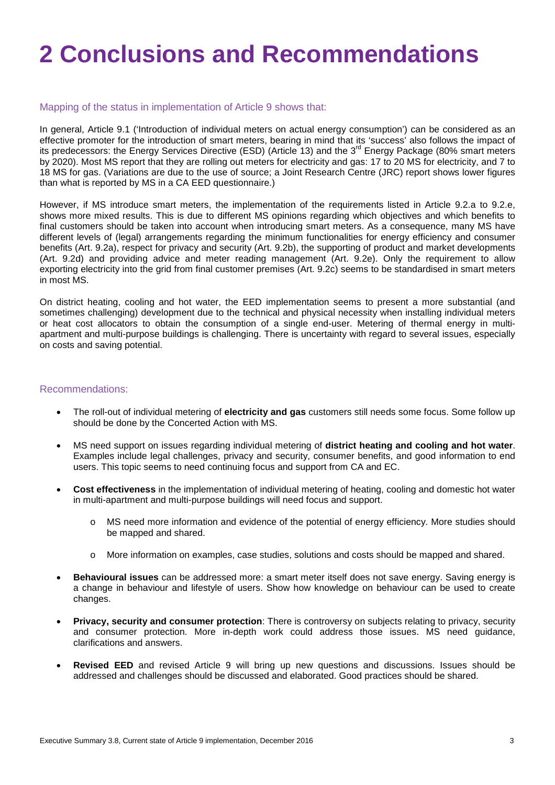# **2 Conclusions and Recommendations**

### Mapping of the status in implementation of Article 9 shows that:

In general, Article 9.1 ('Introduction of individual meters on actual energy consumption') can be considered as an effective promoter for the introduction of smart meters, bearing in mind that its 'success' also follows the impact of its predecessors: the Energy Services Directive (ESD) (Article 13) and the 3<sup>rd</sup> Energy Package (80% smart meters by 2020). Most MS report that they are rolling out meters for electricity and gas: 17 to 20 MS for electricity, and 7 to 18 MS for gas. (Variations are due to the use of source; a Joint Research Centre (JRC) report shows lower figures than what is reported by MS in a CA EED questionnaire.)

However, if MS introduce smart meters, the implementation of the requirements listed in Article 9.2.a to 9.2.e, shows more mixed results. This is due to different MS opinions regarding which objectives and which benefits to final customers should be taken into account when introducing smart meters. As a consequence, many MS have different levels of (legal) arrangements regarding the minimum functionalities for energy efficiency and consumer benefits (Art. 9.2a), respect for privacy and security (Art. 9.2b), the supporting of product and market developments (Art. 9.2d) and providing advice and meter reading management (Art. 9.2e). Only the requirement to allow exporting electricity into the grid from final customer premises (Art. 9.2c) seems to be standardised in smart meters in most MS.

On district heating, cooling and hot water, the EED implementation seems to present a more substantial (and sometimes challenging) development due to the technical and physical necessity when installing individual meters or heat cost allocators to obtain the consumption of a single end-user. Metering of thermal energy in multiapartment and multi-purpose buildings is challenging. There is uncertainty with regard to several issues, especially on costs and saving potential.

#### Recommendations:

- The roll-out of individual metering of **electricity and gas** customers still needs some focus. Some follow up should be done by the Concerted Action with MS.
- MS need support on issues regarding individual metering of **district heating and cooling and hot water**. Examples include legal challenges, privacy and security, consumer benefits, and good information to end users. This topic seems to need continuing focus and support from CA and EC.
- **Cost effectiveness** in the implementation of individual metering of heating, cooling and domestic hot water in multi-apartment and multi-purpose buildings will need focus and support.
	- o MS need more information and evidence of the potential of energy efficiency. More studies should be mapped and shared.
	- More information on examples, case studies, solutions and costs should be mapped and shared.
- **Behavioural issues** can be addressed more: a smart meter itself does not save energy. Saving energy is a change in behaviour and lifestyle of users. Show how knowledge on behaviour can be used to create changes.
- **Privacy, security and consumer protection**: There is controversy on subjects relating to privacy, security and consumer protection. More in-depth work could address those issues. MS need guidance, clarifications and answers.
- **Revised EED** and revised Article 9 will bring up new questions and discussions. Issues should be addressed and challenges should be discussed and elaborated. Good practices should be shared.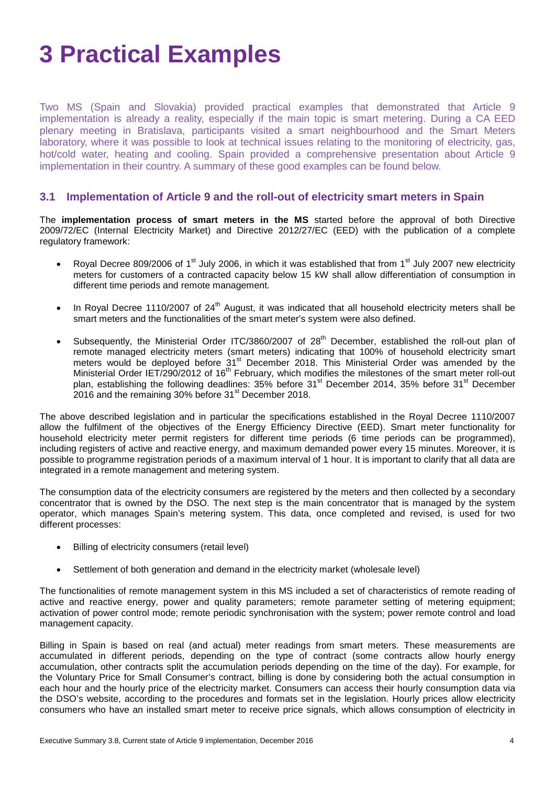# **3 Practical Examples**

Two MS (Spain and Slovakia) provided practical examples that demonstrated that Article 9 implementation is already a reality, especially if the main topic is smart metering. During a CA EED plenary meeting in Bratislava, participants visited a smart neighbourhood and the Smart Meters laboratory, where it was possible to look at technical issues relating to the monitoring of electricity, gas, hot/cold water, heating and cooling. Spain provided a comprehensive presentation about Article 9 implementation in their country. A summary of these good examples can be found below.

### **3.1 Implementation of Article 9 and the roll-out of electricity smart meters in Spain**

The **implementation process of smart meters in the MS** started before the approval of both Directive 2009/72/EC (Internal Electricity Market) and Directive 2012/27/EC (EED) with the publication of a complete regulatory framework:

- Royal Decree 809/2006 of 1<sup>st</sup> July 2006, in which it was established that from 1<sup>st</sup> July 2007 new electricity meters for customers of a contracted capacity below 15 kW shall allow differentiation of consumption in different time periods and remote management.
- In Royal Decree 1110/2007 of 24<sup>th</sup> August, it was indicated that all household electricity meters shall be smart meters and the functionalities of the smart meter's system were also defined.
- Subsequently, the Ministerial Order ITC/3860/2007 of 28<sup>th</sup> December, established the roll-out plan of remote managed electricity meters (smart meters) indicating that 100% of household electricity smart meters would be deployed before  $31<sup>st</sup>$  December 2018. This Ministerial Order was amended by the Ministerial Order IET/290/2012 of 16<sup>th</sup> February, which modifies the milestones of the smart meter roll-out plan, establishing the following deadlines: 35% before 31<sup>st</sup> December 2014, 35% before 31<sup>st</sup> December  $2016$  and the remaining 30% before 31 $^{\text{st}}$  December 2018.

The above described legislation and in particular the specifications established in the Royal Decree 1110/2007 allow the fulfilment of the objectives of the Energy Efficiency Directive (EED). Smart meter functionality for household electricity meter permit registers for different time periods (6 time periods can be programmed), including registers of active and reactive energy, and maximum demanded power every 15 minutes. Moreover, it is possible to programme registration periods of a maximum interval of 1 hour. It is important to clarify that all data are integrated in a remote management and metering system.

The consumption data of the electricity consumers are registered by the meters and then collected by a secondary concentrator that is owned by the DSO. The next step is the main concentrator that is managed by the system operator, which manages Spain's metering system. This data, once completed and revised, is used for two different processes:

- Billing of electricity consumers (retail level)
- Settlement of both generation and demand in the electricity market (wholesale level)

The functionalities of remote management system in this MS included a set of characteristics of remote reading of active and reactive energy, power and quality parameters; remote parameter setting of metering equipment; activation of power control mode; remote periodic synchronisation with the system; power remote control and load management capacity.

Billing in Spain is based on real (and actual) meter readings from smart meters. These measurements are accumulated in different periods, depending on the type of contract (some contracts allow hourly energy accumulation, other contracts split the accumulation periods depending on the time of the day). For example, for the Voluntary Price for Small Consumer's contract, billing is done by considering both the actual consumption in each hour and the hourly price of the electricity market. Consumers can access their hourly consumption data via the DSO's website, according to the procedures and formats set in the legislation. Hourly prices allow electricity consumers who have an installed smart meter to receive price signals, which allows consumption of electricity in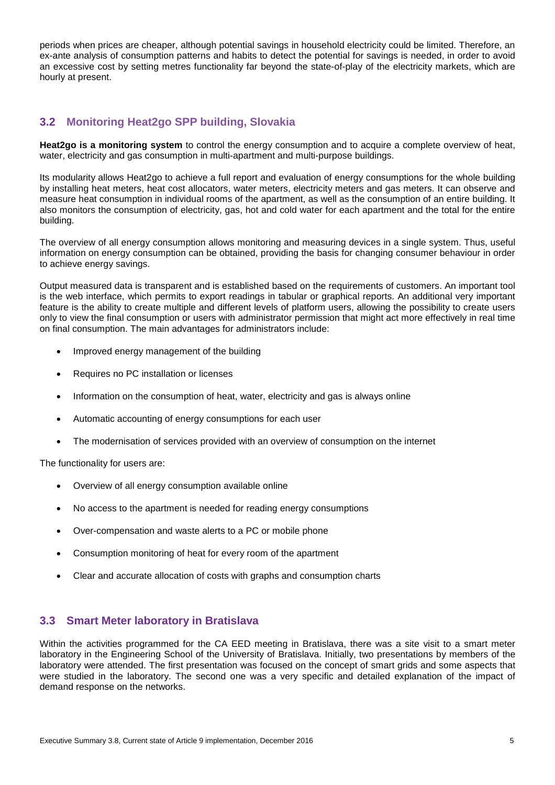periods when prices are cheaper, although potential savings in household electricity could be limited. Therefore, an ex-ante analysis of consumption patterns and habits to detect the potential for savings is needed, in order to avoid an excessive cost by setting metres functionality far beyond the state-of-play of the electricity markets, which are hourly at present.

## **3.2 Monitoring Heat2go SPP building, Slovakia**

**Heat2go is a monitoring system** to control the energy consumption and to acquire a complete overview of heat, water, electricity and gas consumption in multi-apartment and multi-purpose buildings.

Its modularity allows Heat2go to achieve a full report and evaluation of energy consumptions for the whole building by installing heat meters, heat cost allocators, water meters, electricity meters and gas meters. It can observe and measure heat consumption in individual rooms of the apartment, as well as the consumption of an entire building. It also monitors the consumption of electricity, gas, hot and cold water for each apartment and the total for the entire building.

The overview of all energy consumption allows monitoring and measuring devices in a single system. Thus, useful information on energy consumption can be obtained, providing the basis for changing consumer behaviour in order to achieve energy savings.

Output measured data is transparent and is established based on the requirements of customers. An important tool is the web interface, which permits to export readings in tabular or graphical reports. An additional very important feature is the ability to create multiple and different levels of platform users, allowing the possibility to create users only to view the final consumption or users with administrator permission that might act more effectively in real time on final consumption. The main advantages for administrators include:

- Improved energy management of the building
- Requires no PC installation or licenses
- Information on the consumption of heat, water, electricity and gas is always online
- Automatic accounting of energy consumptions for each user
- The modernisation of services provided with an overview of consumption on the internet

The functionality for users are:

- Overview of all energy consumption available online
- No access to the apartment is needed for reading energy consumptions
- Over-compensation and waste alerts to a PC or mobile phone
- Consumption monitoring of heat for every room of the apartment
- Clear and accurate allocation of costs with graphs and consumption charts

### **3.3 Smart Meter laboratory in Bratislava**

Within the activities programmed for the CA EED meeting in Bratislava, there was a site visit to a smart meter laboratory in the Engineering School of the University of Bratislava. Initially, two presentations by members of the laboratory were attended. The first presentation was focused on the concept of smart grids and some aspects that were studied in the laboratory. The second one was a very specific and detailed explanation of the impact of demand response on the networks.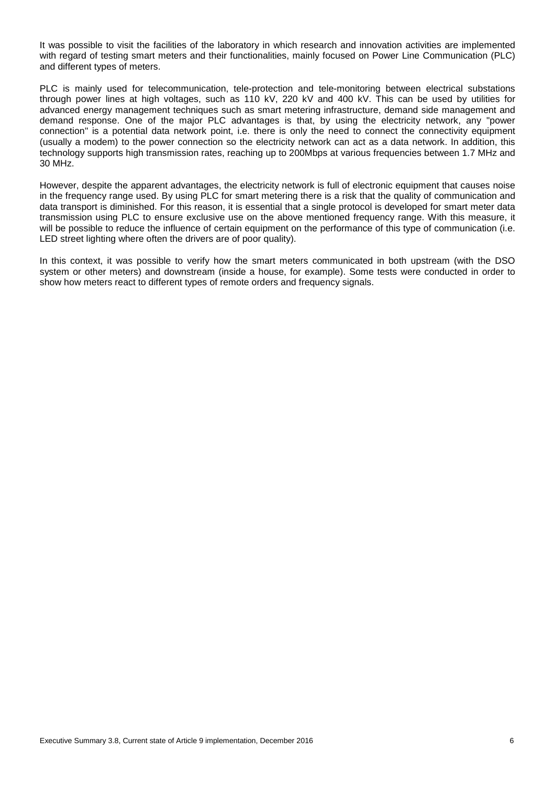It was possible to visit the facilities of the laboratory in which research and innovation activities are implemented with regard of testing smart meters and their functionalities, mainly focused on Power Line Communication (PLC) and different types of meters.

PLC is mainly used for telecommunication, tele-protection and tele-monitoring between electrical substations through power lines at high voltages, such as 110 kV, 220 kV and 400 kV. This can be used by utilities for advanced energy management techniques such as smart metering infrastructure, demand side management and demand response. One of the major PLC advantages is that, by using the electricity network, any "power connection" is a potential data network point, i.e. there is only the need to connect the connectivity equipment (usually a modem) to the power connection so the electricity network can act as a data network. In addition, this technology supports high transmission rates, reaching up to 200Mbps at various frequencies between 1.7 MHz and 30 MHz.

However, despite the apparent advantages, the electricity network is full of electronic equipment that causes noise in the frequency range used. By using PLC for smart metering there is a risk that the quality of communication and data transport is diminished. For this reason, it is essential that a single protocol is developed for smart meter data transmission using PLC to ensure exclusive use on the above mentioned frequency range. With this measure, it will be possible to reduce the influence of certain equipment on the performance of this type of communication (i.e. LED street lighting where often the drivers are of poor quality).

In this context, it was possible to verify how the smart meters communicated in both upstream (with the DSO system or other meters) and downstream (inside a house, for example). Some tests were conducted in order to show how meters react to different types of remote orders and frequency signals.